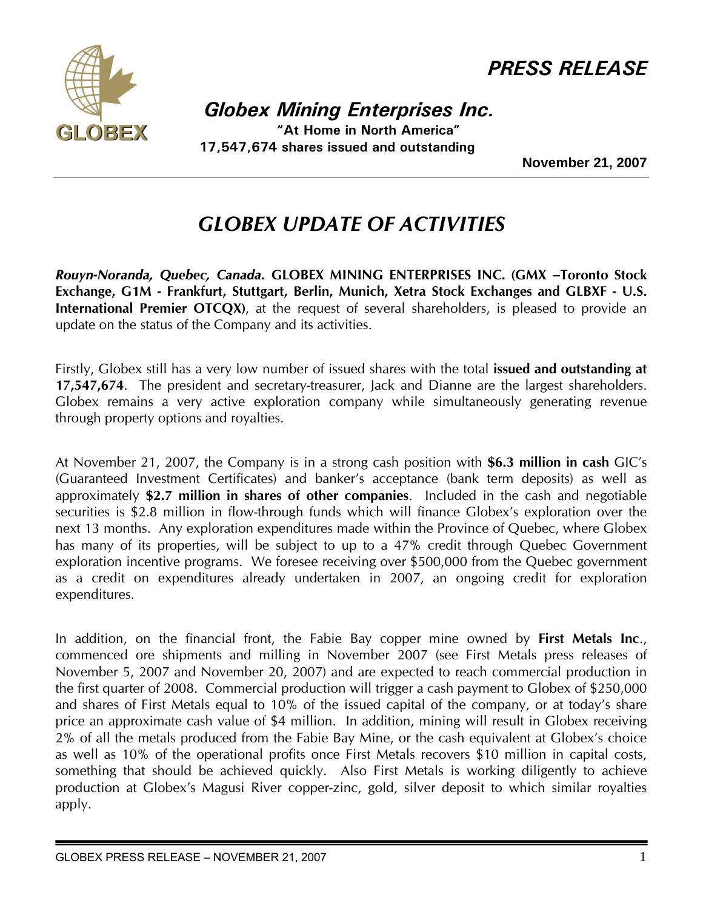

*PRESS RELEASE*

 *Globex Mining Enterprises Inc.*

 **"At Home in North America" 17,547,674 shares issued and outstanding** 

**November 21, 2007** 

## *GLOBEX UPDATE OF ACTIVITIES*

*Rouyn-Noranda, Quebec, Canada.* **GLOBEX MINING ENTERPRISES INC. (GMX –Toronto Stock Exchange, G1M - Frankfurt, Stuttgart, Berlin, Munich, Xetra Stock Exchanges and GLBXF - U.S. International Premier OTCQX**), at the request of several shareholders, is pleased to provide an update on the status of the Company and its activities.

Firstly, Globex still has a very low number of issued shares with the total **issued and outstanding at 17,547,674**. The president and secretary-treasurer, Jack and Dianne are the largest shareholders. Globex remains a very active exploration company while simultaneously generating revenue through property options and royalties.

At November 21, 2007, the Company is in a strong cash position with **\$6.3 million in cash** GIC's (Guaranteed Investment Certificates) and banker's acceptance (bank term deposits) as well as approximately **\$2.7 million in shares of other companies**. Included in the cash and negotiable securities is \$2.8 million in flow-through funds which will finance Globex's exploration over the next 13 months. Any exploration expenditures made within the Province of Quebec, where Globex has many of its properties, will be subject to up to a 47% credit through Quebec Government exploration incentive programs. We foresee receiving over \$500,000 from the Quebec government as a credit on expenditures already undertaken in 2007, an ongoing credit for exploration expenditures.

In addition, on the financial front, the Fabie Bay copper mine owned by **First Metals Inc**., commenced ore shipments and milling in November 2007 (see First Metals press releases of November 5, 2007 and November 20, 2007) and are expected to reach commercial production in the first quarter of 2008. Commercial production will trigger a cash payment to Globex of \$250,000 and shares of First Metals equal to 10% of the issued capital of the company, or at today's share price an approximate cash value of \$4 million. In addition, mining will result in Globex receiving 2% of all the metals produced from the Fabie Bay Mine, or the cash equivalent at Globex's choice as well as 10% of the operational profits once First Metals recovers \$10 million in capital costs, something that should be achieved quickly. Also First Metals is working diligently to achieve production at Globex's Magusi River copper-zinc, gold, silver deposit to which similar royalties apply.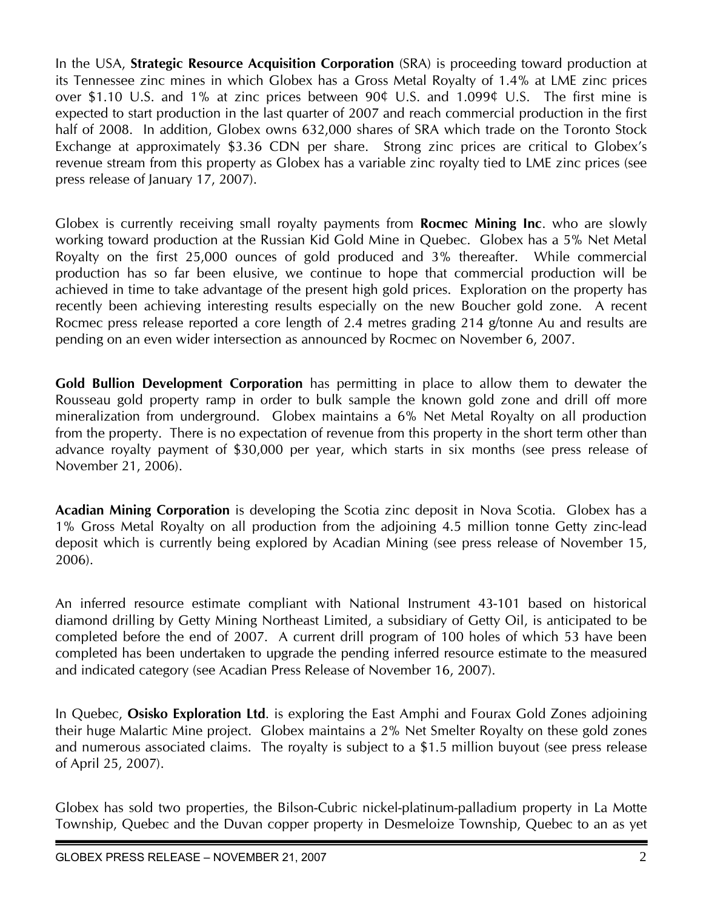In the USA, **Strategic Resource Acquisition Corporation** (SRA) is proceeding toward production at its Tennessee zinc mines in which Globex has a Gross Metal Royalty of 1.4% at LME zinc prices over \$1.10 U.S. and 1% at zinc prices between 90¢ U.S. and 1.099¢ U.S. The first mine is expected to start production in the last quarter of 2007 and reach commercial production in the first half of 2008. In addition, Globex owns 632,000 shares of SRA which trade on the Toronto Stock Exchange at approximately \$3.36 CDN per share. Strong zinc prices are critical to Globex's revenue stream from this property as Globex has a variable zinc royalty tied to LME zinc prices (see press release of January 17, 2007).

Globex is currently receiving small royalty payments from **Rocmec Mining Inc**. who are slowly working toward production at the Russian Kid Gold Mine in Quebec. Globex has a 5% Net Metal Royalty on the first 25,000 ounces of gold produced and 3% thereafter. While commercial production has so far been elusive, we continue to hope that commercial production will be achieved in time to take advantage of the present high gold prices. Exploration on the property has recently been achieving interesting results especially on the new Boucher gold zone. A recent Rocmec press release reported a core length of 2.4 metres grading 214 g/tonne Au and results are pending on an even wider intersection as announced by Rocmec on November 6, 2007.

**Gold Bullion Development Corporation** has permitting in place to allow them to dewater the Rousseau gold property ramp in order to bulk sample the known gold zone and drill off more mineralization from underground. Globex maintains a 6% Net Metal Royalty on all production from the property. There is no expectation of revenue from this property in the short term other than advance royalty payment of \$30,000 per year, which starts in six months (see press release of November 21, 2006).

**Acadian Mining Corporation** is developing the Scotia zinc deposit in Nova Scotia. Globex has a 1% Gross Metal Royalty on all production from the adjoining 4.5 million tonne Getty zinc-lead deposit which is currently being explored by Acadian Mining (see press release of November 15, 2006).

An inferred resource estimate compliant with National Instrument 43-101 based on historical diamond drilling by Getty Mining Northeast Limited, a subsidiary of Getty Oil, is anticipated to be completed before the end of 2007. A current drill program of 100 holes of which 53 have been completed has been undertaken to upgrade the pending inferred resource estimate to the measured and indicated category (see Acadian Press Release of November 16, 2007).

In Quebec, **Osisko Exploration Ltd**. is exploring the East Amphi and Fourax Gold Zones adjoining their huge Malartic Mine project. Globex maintains a 2% Net Smelter Royalty on these gold zones and numerous associated claims. The royalty is subject to a \$1.5 million buyout (see press release of April 25, 2007).

Globex has sold two properties, the Bilson-Cubric nickel-platinum-palladium property in La Motte Township, Quebec and the Duvan copper property in Desmeloize Township, Quebec to an as yet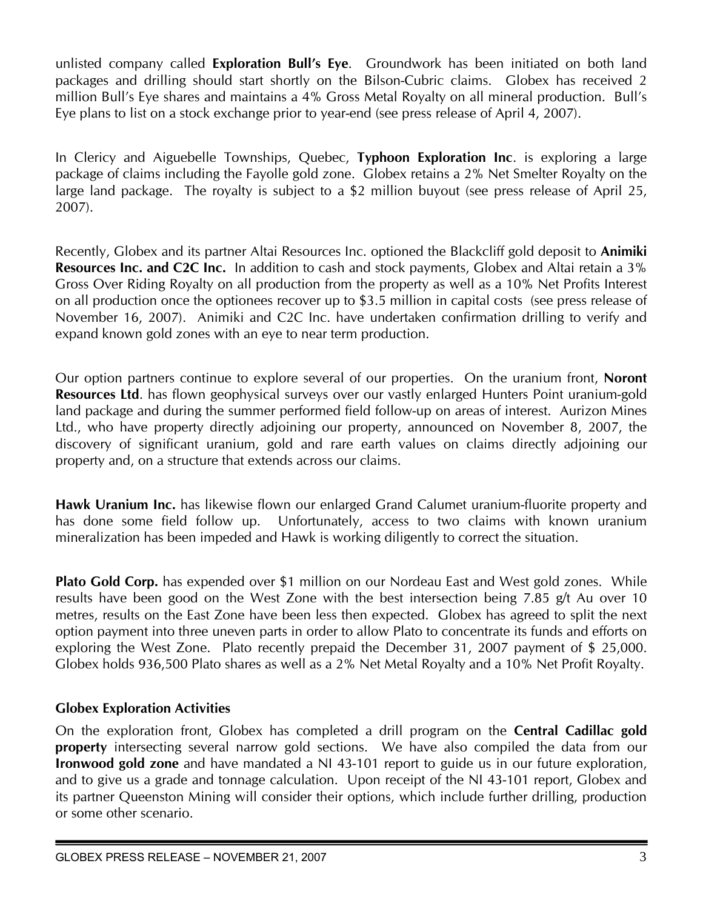unlisted company called **Exploration Bull's Eye**. Groundwork has been initiated on both land packages and drilling should start shortly on the Bilson-Cubric claims. Globex has received 2 million Bull's Eye shares and maintains a 4% Gross Metal Royalty on all mineral production. Bull's Eye plans to list on a stock exchange prior to year-end (see press release of April 4, 2007).

In Clericy and Aiguebelle Townships, Quebec, **Typhoon Exploration Inc**. is exploring a large package of claims including the Fayolle gold zone. Globex retains a 2% Net Smelter Royalty on the large land package. The royalty is subject to a \$2 million buyout (see press release of April 25, 2007).

Recently, Globex and its partner Altai Resources Inc. optioned the Blackcliff gold deposit to **Animiki Resources Inc. and C2C Inc.** In addition to cash and stock payments, Globex and Altai retain a 3% Gross Over Riding Royalty on all production from the property as well as a 10% Net Profits Interest on all production once the optionees recover up to \$3.5 million in capital costs (see press release of November 16, 2007). Animiki and C2C Inc. have undertaken confirmation drilling to verify and expand known gold zones with an eye to near term production.

Our option partners continue to explore several of our properties. On the uranium front, **Noront Resources Ltd**. has flown geophysical surveys over our vastly enlarged Hunters Point uranium-gold land package and during the summer performed field follow-up on areas of interest. Aurizon Mines Ltd., who have property directly adjoining our property, announced on November 8, 2007, the discovery of significant uranium, gold and rare earth values on claims directly adjoining our property and, on a structure that extends across our claims.

**Hawk Uranium Inc.** has likewise flown our enlarged Grand Calumet uranium-fluorite property and has done some field follow up. Unfortunately, access to two claims with known uranium mineralization has been impeded and Hawk is working diligently to correct the situation.

**Plato Gold Corp.** has expended over \$1 million on our Nordeau East and West gold zones. While results have been good on the West Zone with the best intersection being 7.85 g/t Au over 10 metres, results on the East Zone have been less then expected. Globex has agreed to split the next option payment into three uneven parts in order to allow Plato to concentrate its funds and efforts on exploring the West Zone. Plato recently prepaid the December 31, 2007 payment of \$ 25,000. Globex holds 936,500 Plato shares as well as a 2% Net Metal Royalty and a 10% Net Profit Royalty.

## **Globex Exploration Activities**

On the exploration front, Globex has completed a drill program on the **Central Cadillac gold property** intersecting several narrow gold sections. We have also compiled the data from our **Ironwood gold zone** and have mandated a NI 43-101 report to guide us in our future exploration, and to give us a grade and tonnage calculation. Upon receipt of the NI 43-101 report, Globex and its partner Queenston Mining will consider their options, which include further drilling, production or some other scenario.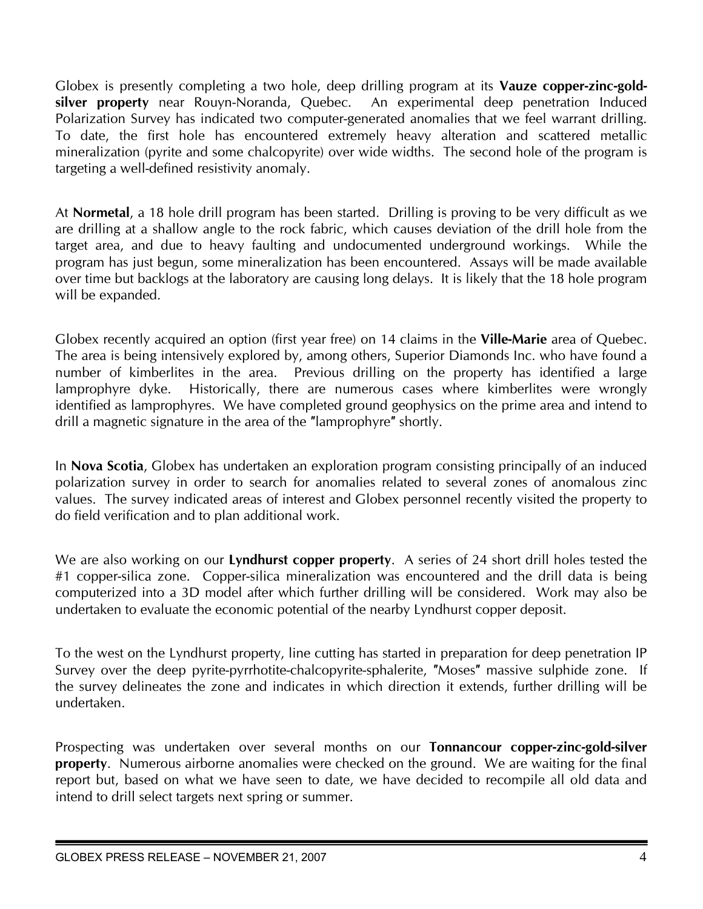Globex is presently completing a two hole, deep drilling program at its **Vauze copper-zinc-goldsilver property** near Rouyn-Noranda, Quebec. An experimental deep penetration Induced Polarization Survey has indicated two computer-generated anomalies that we feel warrant drilling. To date, the first hole has encountered extremely heavy alteration and scattered metallic mineralization (pyrite and some chalcopyrite) over wide widths. The second hole of the program is targeting a well-defined resistivity anomaly.

At **Normetal**, a 18 hole drill program has been started. Drilling is proving to be very difficult as we are drilling at a shallow angle to the rock fabric, which causes deviation of the drill hole from the target area, and due to heavy faulting and undocumented underground workings. While the program has just begun, some mineralization has been encountered. Assays will be made available over time but backlogs at the laboratory are causing long delays. It is likely that the 18 hole program will be expanded.

Globex recently acquired an option (first year free) on 14 claims in the **Ville-Marie** area of Quebec. The area is being intensively explored by, among others, Superior Diamonds Inc. who have found a number of kimberlites in the area. Previous drilling on the property has identified a large lamprophyre dyke. Historically, there are numerous cases where kimberlites were wrongly identified as lamprophyres. We have completed ground geophysics on the prime area and intend to drill a magnetic signature in the area of the ″lamprophyre″ shortly.

In **Nova Scotia**, Globex has undertaken an exploration program consisting principally of an induced polarization survey in order to search for anomalies related to several zones of anomalous zinc values. The survey indicated areas of interest and Globex personnel recently visited the property to do field verification and to plan additional work.

We are also working on our **Lyndhurst copper property**. A series of 24 short drill holes tested the #1 copper-silica zone. Copper-silica mineralization was encountered and the drill data is being computerized into a 3D model after which further drilling will be considered. Work may also be undertaken to evaluate the economic potential of the nearby Lyndhurst copper deposit.

To the west on the Lyndhurst property, line cutting has started in preparation for deep penetration IP Survey over the deep pyrite-pyrrhotite-chalcopyrite-sphalerite, ″Moses″ massive sulphide zone. If the survey delineates the zone and indicates in which direction it extends, further drilling will be undertaken.

Prospecting was undertaken over several months on our **Tonnancour copper-zinc-gold-silver property**. Numerous airborne anomalies were checked on the ground. We are waiting for the final report but, based on what we have seen to date, we have decided to recompile all old data and intend to drill select targets next spring or summer.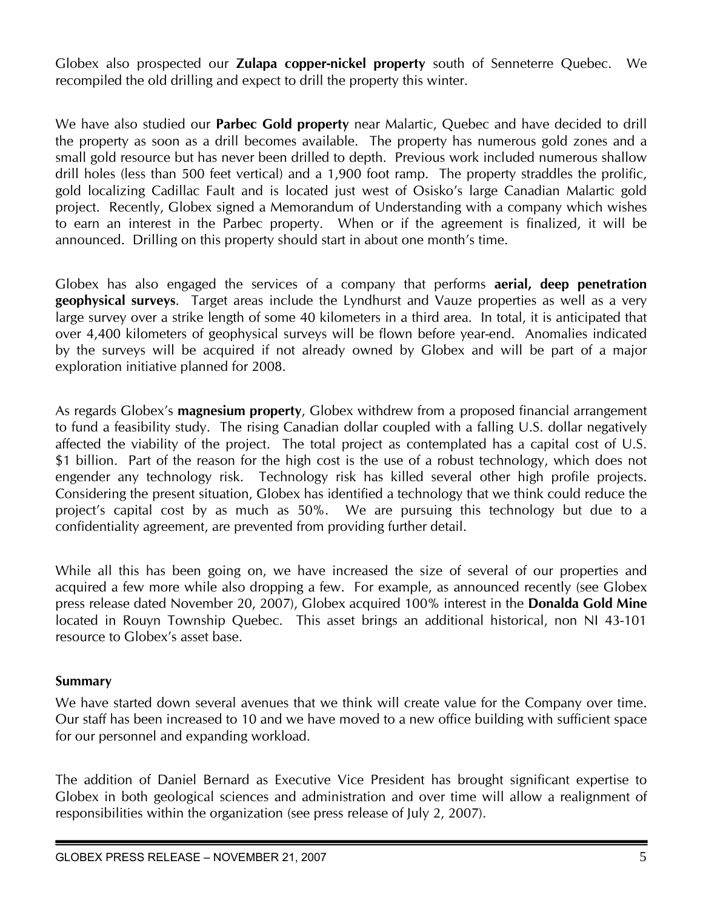Globex also prospected our **Zulapa copper-nickel property** south of Senneterre Quebec. We recompiled the old drilling and expect to drill the property this winter.

We have also studied our **Parbec Gold property** near Malartic, Quebec and have decided to drill the property as soon as a drill becomes available. The property has numerous gold zones and a small gold resource but has never been drilled to depth. Previous work included numerous shallow drill holes (less than 500 feet vertical) and a 1,900 foot ramp. The property straddles the prolific, gold localizing Cadillac Fault and is located just west of Osisko's large Canadian Malartic gold project. Recently, Globex signed a Memorandum of Understanding with a company which wishes to earn an interest in the Parbec property. When or if the agreement is finalized, it will be announced. Drilling on this property should start in about one month's time.

Globex has also engaged the services of a company that performs **aerial, deep penetration geophysical surveys**. Target areas include the Lyndhurst and Vauze properties as well as a very large survey over a strike length of some 40 kilometers in a third area. In total, it is anticipated that over 4,400 kilometers of geophysical surveys will be flown before year-end. Anomalies indicated by the surveys will be acquired if not already owned by Globex and will be part of a major exploration initiative planned for 2008.

As regards Globex's **magnesium property**, Globex withdrew from a proposed financial arrangement to fund a feasibility study. The rising Canadian dollar coupled with a falling U.S. dollar negatively affected the viability of the project. The total project as contemplated has a capital cost of U.S. \$1 billion. Part of the reason for the high cost is the use of a robust technology, which does not engender any technology risk. Technology risk has killed several other high profile projects. Considering the present situation, Globex has identified a technology that we think could reduce the project's capital cost by as much as 50%. We are pursuing this technology but due to a confidentiality agreement, are prevented from providing further detail.

While all this has been going on, we have increased the size of several of our properties and acquired a few more while also dropping a few. For example, as announced recently (see Globex press release dated November 20, 2007), Globex acquired 100% interest in the **Donalda Gold Mine** located in Rouyn Township Quebec. This asset brings an additional historical, non NI 43-101 resource to Globex's asset base.

## **Summary**

We have started down several avenues that we think will create value for the Company over time. Our staff has been increased to 10 and we have moved to a new office building with sufficient space for our personnel and expanding workload.

The addition of Daniel Bernard as Executive Vice President has brought significant expertise to Globex in both geological sciences and administration and over time will allow a realignment of responsibilities within the organization (see press release of July 2, 2007).